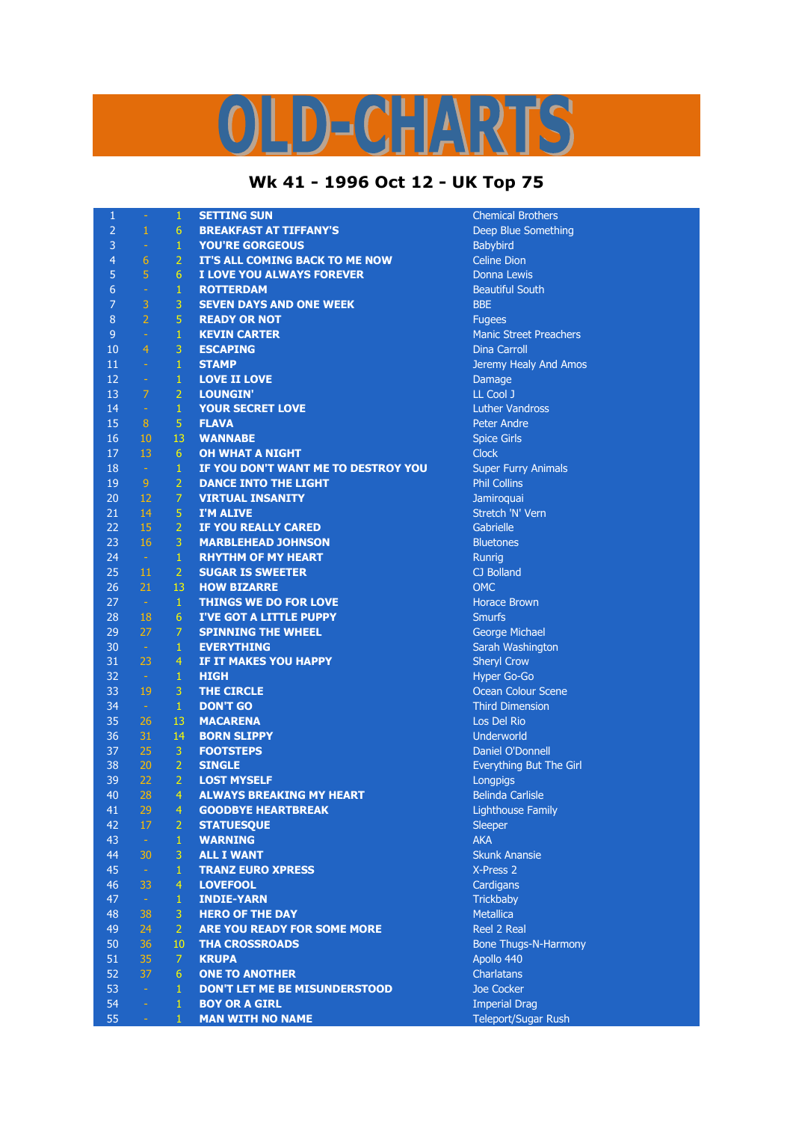## LD-CHARTS

## **Wk 41 - 1996 Oct 12 - UK Top 75**

| $\mathbf{1}$   | $\equiv$         | $\mathbf{1}$   | <b>SETTING SUN</b>                  | <b>Chemical Brothers</b>      |
|----------------|------------------|----------------|-------------------------------------|-------------------------------|
| $\overline{2}$ | 1                | 6              | <b>BREAKFAST AT TIFFANY'S</b>       | Deep Blue Something           |
| 3              | $\rightarrow$    | $\mathbf{1}$   | <b>YOU'RE GORGEOUS</b>              | Babybird                      |
| $\overline{4}$ | $\overline{6}$   | $\overline{2}$ | IT'S ALL COMING BACK TO ME NOW      | <b>Celine Dion</b>            |
| 5              | 5                | 6              | I LOVE YOU ALWAYS FOREVER           | <b>Donna Lewis</b>            |
| 6              | $\omega$         | $\mathbf{1}$   | <b>ROTTERDAM</b>                    | <b>Beautiful South</b>        |
| 7              | 3                | 3              | <b>SEVEN DAYS AND ONE WEEK</b>      | <b>BBE</b>                    |
| 8              | $\overline{2}$   | 5              | <b>READY OR NOT</b>                 | <b>Fugees</b>                 |
| 9              | $\equiv$         | $\mathbf{1}$   | <b>KEVIN CARTER</b>                 | <b>Manic Street Preachers</b> |
| 10             | $\overline{4}$   | 3              | <b>ESCAPING</b>                     | <b>Dina Carroll</b>           |
| 11             | $\equiv$         | $\mathbf{1}$   | <b>STAMP</b>                        | Jeremy Healy And Amos         |
| 12             | $\equiv$         | $\mathbf{1}$   | <b>LOVE II LOVE</b>                 | Damage                        |
| 13             | 7                | $\overline{2}$ | <b>LOUNGIN'</b>                     | LL Cool J                     |
| 14             | $\equiv$         | $\,1\,$        | <b>YOUR SECRET LOVE</b>             | <b>Luther Vandross</b>        |
| 15             | 8                | $\overline{5}$ | <b>FLAVA</b>                        | Peter Andre                   |
| 16             | 10               | 13             | <b>WANNABE</b>                      | <b>Spice Girls</b>            |
| 17             | 13               | 6              | <b>OH WHAT A NIGHT</b>              | <b>Clock</b>                  |
| 18             | $\sim$           | $\mathbf{1}$   | IF YOU DON'T WANT ME TO DESTROY YOU | <b>Super Furry Animals</b>    |
| 19             | 9                | $\overline{2}$ | <b>DANCE INTO THE LIGHT</b>         | <b>Phil Collins</b>           |
| 20             | 12               | $\overline{7}$ | <b>VIRTUAL INSANITY</b>             | Jamiroquai                    |
| 21             | 14               | 5              | <b>I'M ALIVE</b>                    | Stretch 'N' Vern              |
| 22             | 15               | $\overline{2}$ | IF YOU REALLY CARED                 | Gabrielle                     |
| 23             | 16               | 3              | <b>MARBLEHEAD JOHNSON</b>           | <b>Bluetones</b>              |
| 24             | $\sim$           | $\mathbf{1}$   | <b>RHYTHM OF MY HEART</b>           | Runrig                        |
| 25             | $11\phantom{.0}$ | $\overline{2}$ | <b>SUGAR IS SWEETER</b>             | CJ Bolland                    |
| 26             | 21               | 13             | <b>HOW BIZARRE</b>                  | <b>OMC</b>                    |
| 27             | $\sim$           | $\mathbf{1}$   | <b>THINGS WE DO FOR LOVE</b>        | <b>Horace Brown</b>           |
| 28             | 18               | 6              | <b>I'VE GOT A LITTLE PUPPY</b>      | <b>Smurfs</b>                 |
| 29             | 27               | $\overline{7}$ | <b>SPINNING THE WHEEL</b>           | George Michael                |
| 30             | $\sim$           | $\mathbf{1}$   | <b>EVERYTHING</b>                   | Sarah Washington              |
| 31             | 23               | $\overline{4}$ | IF IT MAKES YOU HAPPY               | <b>Sheryl Crow</b>            |
| 32             | $\sim$           | $\mathbf{1}$   | <b>HIGH</b>                         | Hyper Go-Go                   |
| 33             | 19               | $\overline{3}$ | <b>THE CIRCLE</b>                   | <b>Ocean Colour Scene</b>     |
| 34             | $\sim$           | $\mathbf{1}$   | <b>DON'T GO</b>                     | <b>Third Dimension</b>        |
| 35             | 26               | 13             | <b>MACARENA</b>                     | Los Del Rio                   |
| 36             | 31               | 14             | <b>BORN SLIPPY</b>                  | Underworld                    |
| 37             | 25               | $\overline{3}$ | <b>FOOTSTEPS</b>                    | Daniel O'Donnell              |
| 38             | 20               | $\overline{2}$ | <b>SINGLE</b>                       | Everything But The Girl       |
| 39             | 22               | $\overline{2}$ | <b>LOST MYSELF</b>                  | Longpigs                      |
| 40             | 28               | 4              | <b>ALWAYS BREAKING MY HEART</b>     | <b>Belinda Carlisle</b>       |
| 41             | 29               | 4              | <b>GOODBYE HEARTBREAK</b>           | <b>Lighthouse Family</b>      |
| 42             | 17               | $\overline{2}$ | <b>STATUESQUE</b>                   | Sleeper                       |
| 43             | $\rightarrow$    | $\mathbf{1}$   | <b>WARNING</b>                      | <b>AKA</b>                    |
| 44             | 30               | 3              | <b>ALL I WANT</b>                   | <b>Skunk Anansie</b>          |
| 45             | $\sim$           | $\mathbf{1}$   | <b>TRANZ EURO XPRESS</b>            | X-Press 2                     |
| 46             | 33               | $\overline{4}$ | <b>LOVEFOOL</b>                     | Cardigans                     |
| 47             | $\sim$           | $\mathbf{1}$   | <b>INDIE-YARN</b>                   | Trickbaby                     |
| 48             | 38               | 3              | <b>HERO OF THE DAY</b>              | <b>Metallica</b>              |
| 49             | 24               | $\overline{2}$ | <b>ARE YOU READY FOR SOME MORE</b>  | Reel 2 Real                   |
| 50             | 36               | 10             | <b>THA CROSSROADS</b>               | <b>Bone Thugs-N-Harmony</b>   |
| 51             | 35               | $\overline{7}$ | <b>KRUPA</b>                        | Apollo 440                    |
| 52             | 37               | 6              | <b>ONE TO ANOTHER</b>               | <b>Charlatans</b>             |
| 53             | $\equiv$         | $\mathbf{1}$   | DON'T LET ME BE MISUNDERSTOOD       | Joe Cocker                    |
| 54             | ä,               | $\mathbf{1}$   | <b>BOY OR A GIRL</b>                | <b>Imperial Drag</b>          |
| 55             | $\equiv$         | $\mathbf{1}$   | <b>MAN WITH NO NAME</b>             | <b>Teleport/Sugar Rush</b>    |